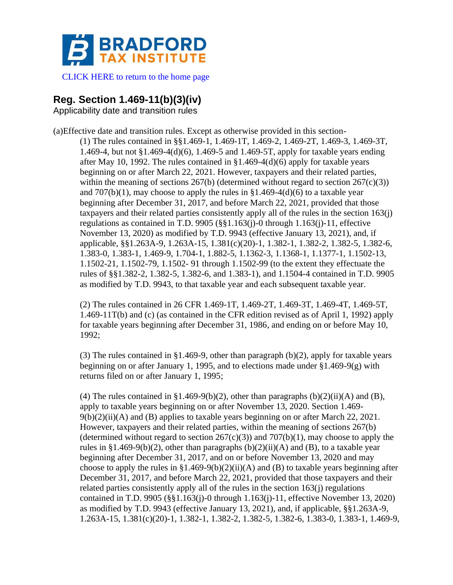

[CLICK HERE to return to the home page](https://bradfordtaxinstitute.com)

## **Reg. Section 1.469-11(b)(3)(iv)**

Applicability date and transition rules

(a)Effective date and transition rules. Except as otherwise provided in this section- (1) The rules contained in §§1.469-1, 1.469-1T, 1.469-2, 1.469-2T, 1.469-3, 1.469-3T, 1.469-4, but not §1.469-4(d)(6), 1.469-5 and 1.469-5T, apply for taxable years ending after May 10, 1992. The rules contained in  $\S1.469-4(d)(6)$  apply for taxable years beginning on or after March 22, 2021. However, taxpayers and their related parties, within the meaning of sections  $267(b)$  (determined without regard to section  $267(c)(3)$ ) and  $707(b)(1)$ , may choose to apply the rules in §1.469-4(d)(6) to a taxable year beginning after December 31, 2017, and before March 22, 2021, provided that those taxpayers and their related parties consistently apply all of the rules in the section 163(j) regulations as contained in T.D. 9905 (§§1.163(j)-0 through 1.163(j)-11, effective November 13, 2020) as modified by T.D. 9943 (effective January 13, 2021), and, if applicable, §§1.263A-9, 1.263A-15, 1.381(c)(20)-1, 1.382-1, 1.382-2, 1.382-5, 1.382-6, 1.383-0, 1.383-1, 1.469-9, 1.704-1, 1.882-5, 1.1362-3, 1.1368-1, 1.1377-1, 1.1502-13, 1.1502-21, 1.1502-79, 1.1502- 91 through 1.1502-99 (to the extent they effectuate the rules of §§1.382-2, 1.382-5, 1.382-6, and 1.383-1), and 1.1504-4 contained in T.D. 9905 as modified by T.D. 9943, to that taxable year and each subsequent taxable year.

(2) The rules contained in 26 CFR 1.469-1T, 1.469-2T, 1.469-3T, 1.469-4T, 1.469-5T, 1.469-11T(b) and (c) (as contained in the CFR edition revised as of April 1, 1992) apply for taxable years beginning after December 31, 1986, and ending on or before May 10, 1992;

(3) The rules contained in §1.469-9, other than paragraph (b)(2), apply for taxable years beginning on or after January 1, 1995, and to elections made under §1.469-9(g) with returns filed on or after January 1, 1995;

(4) The rules contained in §1.469-9(b)(2), other than paragraphs (b)(2)(ii)(A) and (B), apply to taxable years beginning on or after November 13, 2020. Section 1.469-  $9(b)(2)(ii)(A)$  and (B) applies to taxable years beginning on or after March 22, 2021. However, taxpayers and their related parties, within the meaning of sections 267(b) (determined without regard to section  $267(c)(3)$ ) and  $707(b)(1)$ , may choose to apply the rules in §1.469-9(b)(2), other than paragraphs  $(b)(2)(ii)(A)$  and  $(B)$ , to a taxable year beginning after December 31, 2017, and on or before November 13, 2020 and may choose to apply the rules in  $\S1.469-9(b)(2)(ii)(A)$  and (B) to taxable years beginning after December 31, 2017, and before March 22, 2021, provided that those taxpayers and their related parties consistently apply all of the rules in the section  $163(i)$  regulations contained in T.D. 9905 (§§1.163(j)-0 through 1.163(j)-11, effective November 13, 2020) as modified by T.D. 9943 (effective January 13, 2021), and, if applicable, §§1.263A-9, 1.263A-15, 1.381(c)(20)-1, 1.382-1, 1.382-2, 1.382-5, 1.382-6, 1.383-0, 1.383-1, 1.469-9,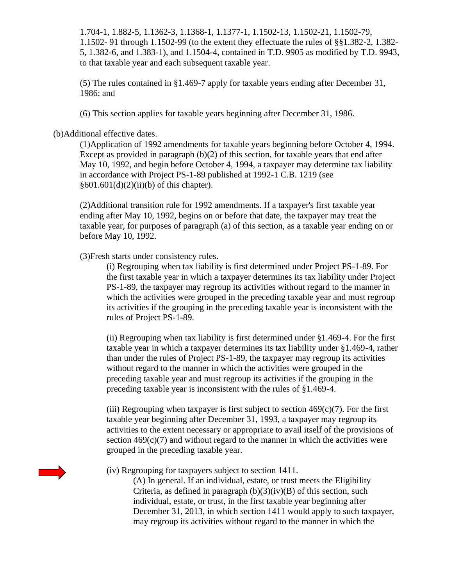1.704-1, 1.882-5, 1.1362-3, 1.1368-1, 1.1377-1, 1.1502-13, 1.1502-21, 1.1502-79, 1.1502- 91 through 1.1502-99 (to the extent they effectuate the rules of §§1.382-2, 1.382- 5, 1.382-6, and 1.383-1), and 1.1504-4, contained in T.D. 9905 as modified by T.D. 9943, to that taxable year and each subsequent taxable year.

(5) The rules contained in §1.469-7 apply for taxable years ending after December 31, 1986; and

(6) This section applies for taxable years beginning after December 31, 1986.

(b)Additional effective dates.

(1)Application of 1992 amendments for taxable years beginning before October 4, 1994. Except as provided in paragraph  $(b)(2)$  of this section, for taxable years that end after May 10, 1992, and begin before October 4, 1994, a taxpayer may determine tax liability in accordance with Project PS-1-89 published at 1992-1 C.B. 1219 (see §601.601(d)(2)(ii)(b) of this chapter).

(2)Additional transition rule for 1992 amendments. If a taxpayer's first taxable year ending after May 10, 1992, begins on or before that date, the taxpayer may treat the taxable year, for purposes of paragraph (a) of this section, as a taxable year ending on or before May 10, 1992.

(3)Fresh starts under consistency rules.

(i) Regrouping when tax liability is first determined under Project PS-1-89. For the first taxable year in which a taxpayer determines its tax liability under Project PS-1-89, the taxpayer may regroup its activities without regard to the manner in which the activities were grouped in the preceding taxable year and must regroup its activities if the grouping in the preceding taxable year is inconsistent with the rules of Project PS-1-89.

(ii) Regrouping when tax liability is first determined under §1.469-4. For the first taxable year in which a taxpayer determines its tax liability under §1.469-4, rather than under the rules of Project PS-1-89, the taxpayer may regroup its activities without regard to the manner in which the activities were grouped in the preceding taxable year and must regroup its activities if the grouping in the preceding taxable year is inconsistent with the rules of §1.469-4.

(iii) Regrouping when taxpayer is first subject to section  $469(c)(7)$ . For the first taxable year beginning after December 31, 1993, a taxpayer may regroup its activities to the extent necessary or appropriate to avail itself of the provisions of section  $469(c)(7)$  and without regard to the manner in which the activities were grouped in the preceding taxable year.

(iv) Regrouping for taxpayers subject to section 1411.

(A) In general. If an individual, estate, or trust meets the Eligibility Criteria, as defined in paragraph  $(b)(3)(iv)(B)$  of this section, such individual, estate, or trust, in the first taxable year beginning after December 31, 2013, in which section 1411 would apply to such taxpayer, may regroup its activities without regard to the manner in which the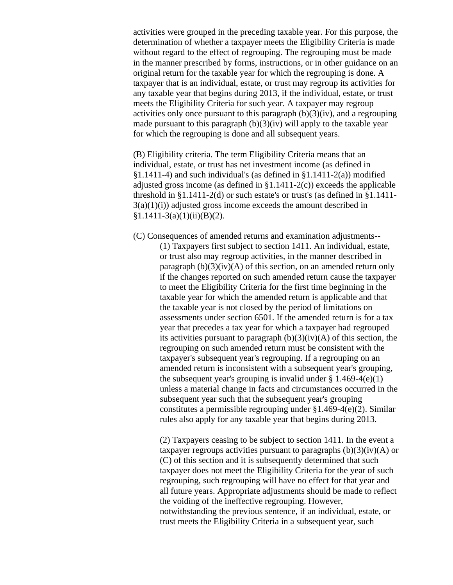activities were grouped in the preceding taxable year. For this purpose, the determination of whether a taxpayer meets the Eligibility Criteria is made without regard to the effect of regrouping. The regrouping must be made in the manner prescribed by forms, instructions, or in other guidance on an original return for the taxable year for which the regrouping is done. A taxpayer that is an individual, estate, or trust may regroup its activities for any taxable year that begins during 2013, if the individual, estate, or trust meets the Eligibility Criteria for such year. A taxpayer may regroup activities only once pursuant to this paragraph  $(b)(3)(iv)$ , and a regrouping made pursuant to this paragraph  $(b)(3)(iv)$  will apply to the taxable year for which the regrouping is done and all subsequent years.

(B) Eligibility criteria. The term Eligibility Criteria means that an individual, estate, or trust has net investment income (as defined in  $§1.1411-4$ ) and such individual's (as defined in  $§1.1411-2(a)$ ) modified adjusted gross income (as defined in  $\S1.1411-2(c)$ ) exceeds the applicable threshold in §1.1411-2(d) or such estate's or trust's (as defined in §1.1411-  $3(a)(1)(i)$ ) adjusted gross income exceeds the amount described in  $§1.1411-3(a)(1)(ii)(B)(2).$ 

(C) Consequences of amended returns and examination adjustments-- (1) Taxpayers first subject to section 1411. An individual, estate, or trust also may regroup activities, in the manner described in paragraph  $(b)(3)(iv)(A)$  of this section, on an amended return only if the changes reported on such amended return cause the taxpayer to meet the Eligibility Criteria for the first time beginning in the taxable year for which the amended return is applicable and that the taxable year is not closed by the period of limitations on assessments under section 6501. If the amended return is for a tax year that precedes a tax year for which a taxpayer had regrouped its activities pursuant to paragraph  $(b)(3)(iv)(A)$  of this section, the regrouping on such amended return must be consistent with the taxpayer's subsequent year's regrouping. If a regrouping on an amended return is inconsistent with a subsequent year's grouping, the subsequent year's grouping is invalid under  $\S 1.469-4(e)(1)$ unless a material change in facts and circumstances occurred in the subsequent year such that the subsequent year's grouping constitutes a permissible regrouping under §1.469-4(e)(2). Similar rules also apply for any taxable year that begins during 2013.

(2) Taxpayers ceasing to be subject to section 1411. In the event a taxpayer regroups activities pursuant to paragraphs  $(b)(3)(iv)(A)$  or (C) of this section and it is subsequently determined that such taxpayer does not meet the Eligibility Criteria for the year of such regrouping, such regrouping will have no effect for that year and all future years. Appropriate adjustments should be made to reflect the voiding of the ineffective regrouping. However, notwithstanding the previous sentence, if an individual, estate, or trust meets the Eligibility Criteria in a subsequent year, such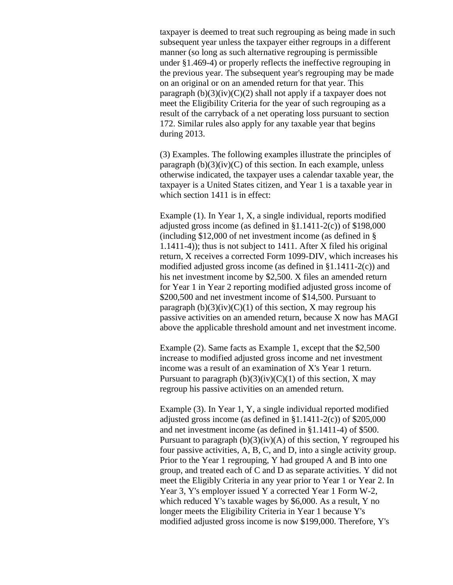taxpayer is deemed to treat such regrouping as being made in such subsequent year unless the taxpayer either regroups in a different manner (so long as such alternative regrouping is permissible under §1.469-4) or properly reflects the ineffective regrouping in the previous year. The subsequent year's regrouping may be made on an original or on an amended return for that year. This paragraph  $(b)(3)(iv)(C)(2)$  shall not apply if a taxpayer does not meet the Eligibility Criteria for the year of such regrouping as a result of the carryback of a net operating loss pursuant to section 172. Similar rules also apply for any taxable year that begins during 2013.

(3) Examples. The following examples illustrate the principles of paragraph  $(b)(3)(iv)(C)$  of this section. In each example, unless otherwise indicated, the taxpayer uses a calendar taxable year, the taxpayer is a United States citizen, and Year 1 is a taxable year in which section 1411 is in effect:

Example (1). In Year 1, X, a single individual, reports modified adjusted gross income (as defined in  $\S1.1411-2(c)$ ) of  $\S198,000$ (including \$12,000 of net investment income (as defined in § 1.1411-4)); thus is not subject to 1411. After X filed his original return, X receives a corrected Form 1099-DIV, which increases his modified adjusted gross income (as defined in §1.1411-2(c)) and his net investment income by \$2,500. X files an amended return for Year 1 in Year 2 reporting modified adjusted gross income of \$200,500 and net investment income of \$14,500. Pursuant to paragraph  $(b)(3)(iv)(C)(1)$  of this section, X may regroup his passive activities on an amended return, because X now has MAGI above the applicable threshold amount and net investment income.

Example (2). Same facts as Example 1, except that the \$2,500 increase to modified adjusted gross income and net investment income was a result of an examination of X's Year 1 return. Pursuant to paragraph  $(b)(3)(iv)(C)(1)$  of this section, X may regroup his passive activities on an amended return.

Example (3). In Year 1, Y, a single individual reported modified adjusted gross income (as defined in §1.1411-2(c)) of \$205,000 and net investment income (as defined in §1.1411-4) of \$500. Pursuant to paragraph  $(b)(3)(iv)(A)$  of this section, Y regrouped his four passive activities, A, B, C, and D, into a single activity group. Prior to the Year 1 regrouping, Y had grouped A and B into one group, and treated each of C and D as separate activities. Y did not meet the Eligibly Criteria in any year prior to Year 1 or Year 2. In Year 3, Y's employer issued Y a corrected Year 1 Form W-2, which reduced Y's taxable wages by \$6,000. As a result, Y no longer meets the Eligibility Criteria in Year 1 because Y's modified adjusted gross income is now \$199,000. Therefore, Y's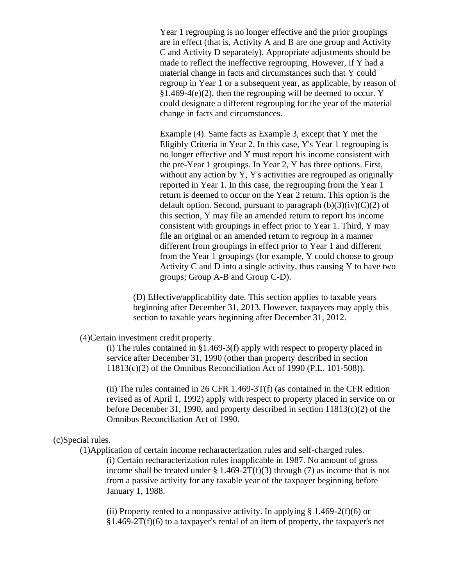Year 1 regrouping is no longer effective and the prior groupings are in effect (that is, Activity A and B are one group and Activity C and Activity D separately). Appropriate adjustments should be made to reflect the ineffective regrouping. However, if Y had a material change in facts and circumstances such that Y could regroup in Year 1 or a subsequent year, as applicable, by reason of  $§1.469-4(e)(2)$ , then the regrouping will be deemed to occur. Y could designate a different regrouping for the year of the material change in facts and circumstances.

Example (4). Same facts as Example 3, except that Y met the Eligibly Criteria in Year 2. In this case, Y's Year 1 regrouping is no longer effective and Y must report his income consistent with the pre-Year 1 groupings. In Year 2, Y has three options. First, without any action by Y, Y's activities are regrouped as originally reported in Year 1. In this case, the regrouping from the Year 1 return is deemed to occur on the Year 2 return. This option is the default option. Second, pursuant to paragraph  $(b)(3)(iv)(C)(2)$  of this section, Y may file an amended return to report his income consistent with groupings in effect prior to Year 1. Third, Y may file an original or an amended return to regroup in a manner different from groupings in effect prior to Year 1 and different from the Year 1 groupings (for example, Y could choose to group Activity C and D into a single activity, thus causing Y to have two groups; Group A-B and Group C-D).

(D) Effective/applicability date. This section applies to taxable years beginning after December 31, 2013. However, taxpayers may apply this section to taxable years beginning after December 31, 2012.

(4)Certain investment credit property.

(i) The rules contained in §1.469-3(f) apply with respect to property placed in service after December 31, 1990 (other than property described in section 11813(c)(2) of the Omnibus Reconciliation Act of 1990 (P.L. 101-508)).

(ii) The rules contained in 26 CFR 1.469-3T(f) (as contained in the CFR edition revised as of April 1, 1992) apply with respect to property placed in service on or before December 31, 1990, and property described in section 11813(c)(2) of the Omnibus Reconciliation Act of 1990.

## (c)Special rules.

(1)Application of certain income recharacterization rules and self-charged rules. (i) Certain recharacterization rules inapplicable in 1987. No amount of gross income shall be treated under  $\S 1.469-2T(f)(3)$  through (7) as income that is not from a passive activity for any taxable year of the taxpayer beginning before January 1, 1988.

(ii) Property rented to a nonpassive activity. In applying  $\S 1.469-2(f)(6)$  or  $§1.469-2T(f)(6)$  to a taxpayer's rental of an item of property, the taxpayer's net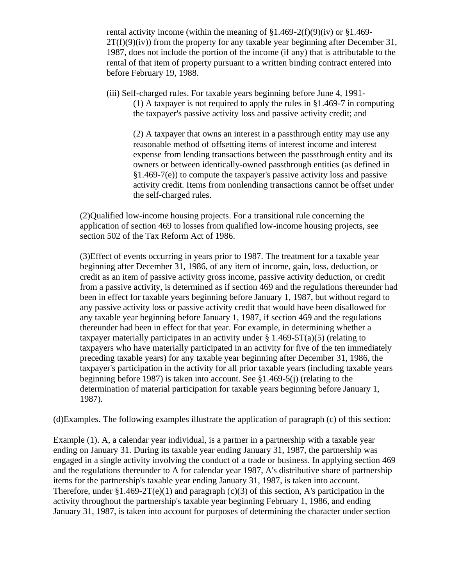rental activity income (within the meaning of  $\S1.469-2(f)(9)(iv)$  or  $\S1.469 2T(f)(9)(iv)$  from the property for any taxable year beginning after December 31, 1987, does not include the portion of the income (if any) that is attributable to the rental of that item of property pursuant to a written binding contract entered into before February 19, 1988.

(iii) Self-charged rules. For taxable years beginning before June 4, 1991- (1) A taxpayer is not required to apply the rules in §1.469-7 in computing the taxpayer's passive activity loss and passive activity credit; and

(2) A taxpayer that owns an interest in a passthrough entity may use any reasonable method of offsetting items of interest income and interest expense from lending transactions between the passthrough entity and its owners or between identically-owned passthrough entities (as defined in §1.469-7(e)) to compute the taxpayer's passive activity loss and passive activity credit. Items from nonlending transactions cannot be offset under the self-charged rules.

(2)Qualified low-income housing projects. For a transitional rule concerning the application of section 469 to losses from qualified low-income housing projects, see section 502 of the Tax Reform Act of 1986.

(3)Effect of events occurring in years prior to 1987. The treatment for a taxable year beginning after December 31, 1986, of any item of income, gain, loss, deduction, or credit as an item of passive activity gross income, passive activity deduction, or credit from a passive activity, is determined as if section 469 and the regulations thereunder had been in effect for taxable years beginning before January 1, 1987, but without regard to any passive activity loss or passive activity credit that would have been disallowed for any taxable year beginning before January 1, 1987, if section 469 and the regulations thereunder had been in effect for that year. For example, in determining whether a taxpayer materially participates in an activity under  $\S 1.469 - 5T(a)(5)$  (relating to taxpayers who have materially participated in an activity for five of the ten immediately preceding taxable years) for any taxable year beginning after December 31, 1986, the taxpayer's participation in the activity for all prior taxable years (including taxable years beginning before 1987) is taken into account. See §1.469-5(j) (relating to the determination of material participation for taxable years beginning before January 1, 1987).

(d)Examples. The following examples illustrate the application of paragraph (c) of this section:

Example (1). A, a calendar year individual, is a partner in a partnership with a taxable year ending on January 31. During its taxable year ending January 31, 1987, the partnership was engaged in a single activity involving the conduct of a trade or business. In applying section 469 and the regulations thereunder to A for calendar year 1987, A's distributive share of partnership items for the partnership's taxable year ending January 31, 1987, is taken into account. Therefore, under  $$1.469-2T(e)(1)$  and paragraph (c)(3) of this section, A's participation in the activity throughout the partnership's taxable year beginning February 1, 1986, and ending January 31, 1987, is taken into account for purposes of determining the character under section